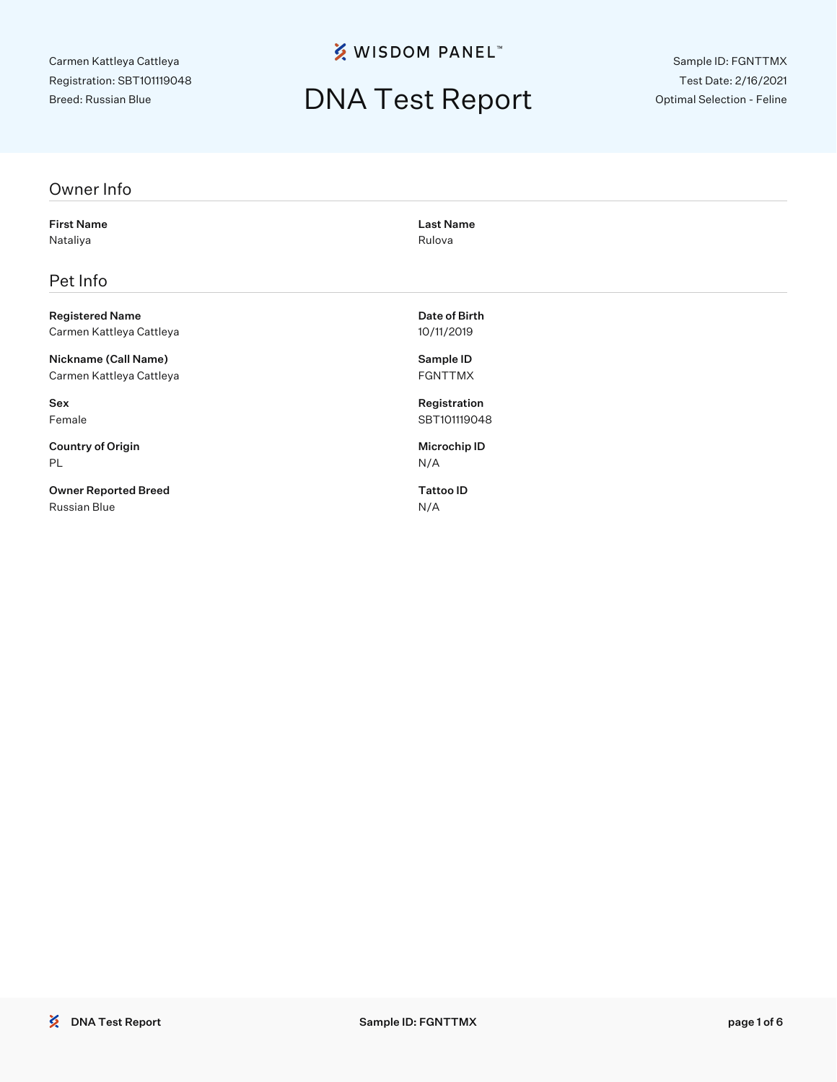**% WISDOM PANEL**™

## DNA Test Report

Sample ID: FGNTTMX Test Date: 2/16/2021 Optimal Selection - Feline

#### Owner Info

First Name Last Name Nataliya **Nataliya** Rulova Rulova Rulova Rulova Rulova Rulova Rulova Rulova Rulova Rulova Rulova Rulova Rulova

### Pet Info

Registered Name **Date of Birth** Carmen Kattleya Cattleya 10/11/2019

Nickname (Call Name) Sample ID Carmen Kattleya Cattleya FGNTTMX

Country of Origin **Microchip ID** PL N/A

Owner Reported Breed Tattoo ID Russian Blue N/A

Sex Registration Female SBT101119048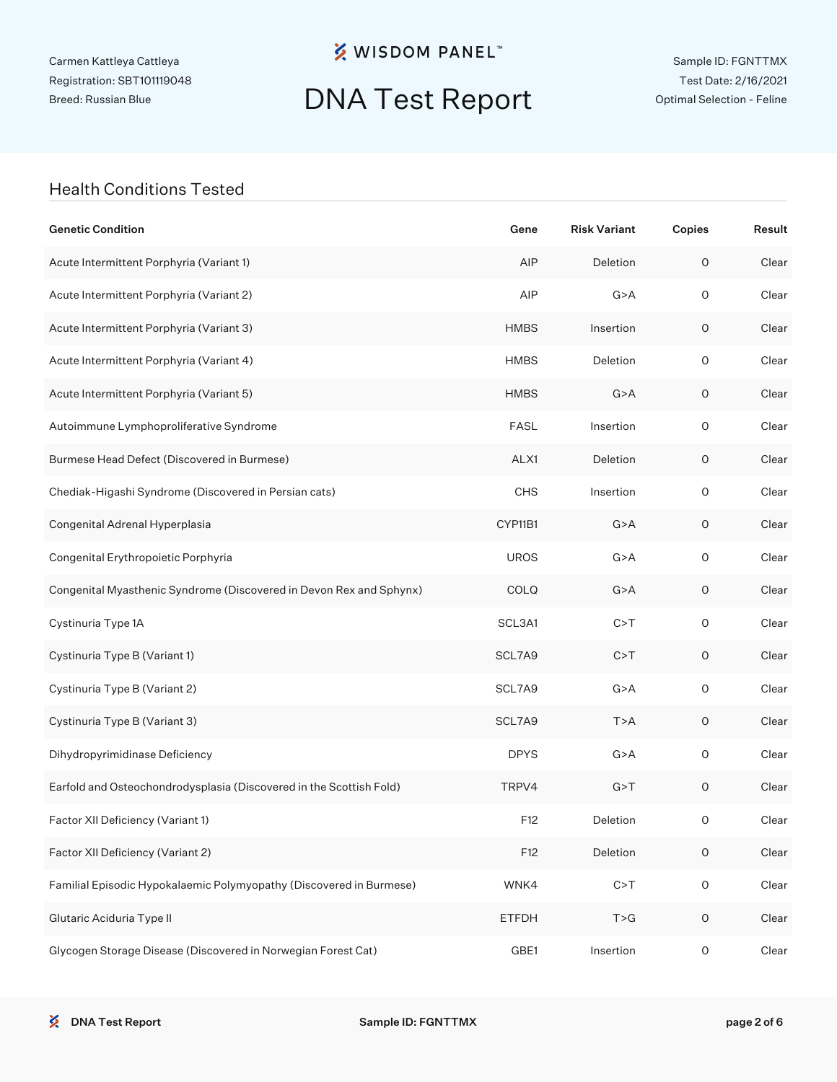**※ WISDOM PANEL**™

## DNA Test Report

Sample ID: FGNTTMX Test Date: 2/16/2021 Optimal Selection - Feline

#### Health Conditions Tested

| <b>Genetic Condition</b>                                            | Gene         | <b>Risk Variant</b> | Copies              | Result |
|---------------------------------------------------------------------|--------------|---------------------|---------------------|--------|
| Acute Intermittent Porphyria (Variant 1)                            | AIP          | Deletion            | $\mathsf O$         | Clear  |
| Acute Intermittent Porphyria (Variant 2)                            | AIP          | G > A               | $\mathsf O$         | Clear  |
| Acute Intermittent Porphyria (Variant 3)                            | <b>HMBS</b>  | Insertion           | 0                   | Clear  |
| Acute Intermittent Porphyria (Variant 4)                            | <b>HMBS</b>  | Deletion            | $\mathsf O$         | Clear  |
| Acute Intermittent Porphyria (Variant 5)                            | <b>HMBS</b>  | G > A               | 0                   | Clear  |
| Autoimmune Lymphoproliferative Syndrome                             | <b>FASL</b>  | Insertion           | $\mathsf O$         | Clear  |
| Burmese Head Defect (Discovered in Burmese)                         | ALX1         | Deletion            | 0                   | Clear  |
| Chediak-Higashi Syndrome (Discovered in Persian cats)               | <b>CHS</b>   | Insertion           | $\mathsf O$         | Clear  |
| Congenital Adrenal Hyperplasia                                      | CYP11B1      | G > A               | 0                   | Clear  |
| Congenital Erythropoietic Porphyria                                 | <b>UROS</b>  | G > A               | $\mathsf O$         | Clear  |
| Congenital Myasthenic Syndrome (Discovered in Devon Rex and Sphynx) | COLQ         | G > A               | 0                   | Clear  |
| Cystinuria Type 1A                                                  | SCL3A1       | C > T               | $\mathsf O$         | Clear  |
| Cystinuria Type B (Variant 1)                                       | SCL7A9       | C > T               | 0                   | Clear  |
| Cystinuria Type B (Variant 2)                                       | SCL7A9       | G > A               | $\mathsf O$         | Clear  |
| Cystinuria Type B (Variant 3)                                       | SCL7A9       | T > A               | 0                   | Clear  |
| Dihydropyrimidinase Deficiency                                      | <b>DPYS</b>  | G > A               | $\mathsf O$         | Clear  |
| Earfold and Osteochondrodysplasia (Discovered in the Scottish Fold) | TRPV4        | G > T               | $\mathsf O$         | Clear  |
| Factor XII Deficiency (Variant 1)                                   | F12          | Deletion            | 0                   | Clear  |
| Factor XII Deficiency (Variant 2)                                   | F12          | Deletion            | $\mathsf O$         | Clear  |
| Familial Episodic Hypokalaemic Polymyopathy (Discovered in Burmese) | WNK4         | C > T               | $\mathsf O$         | Clear  |
| Glutaric Aciduria Type II                                           | <b>ETFDH</b> | T > G               | $\mathsf O$         | Clear  |
| Glycogen Storage Disease (Discovered in Norwegian Forest Cat)       | GBE1         | Insertion           | $\mathsf{O}\xspace$ | Clear  |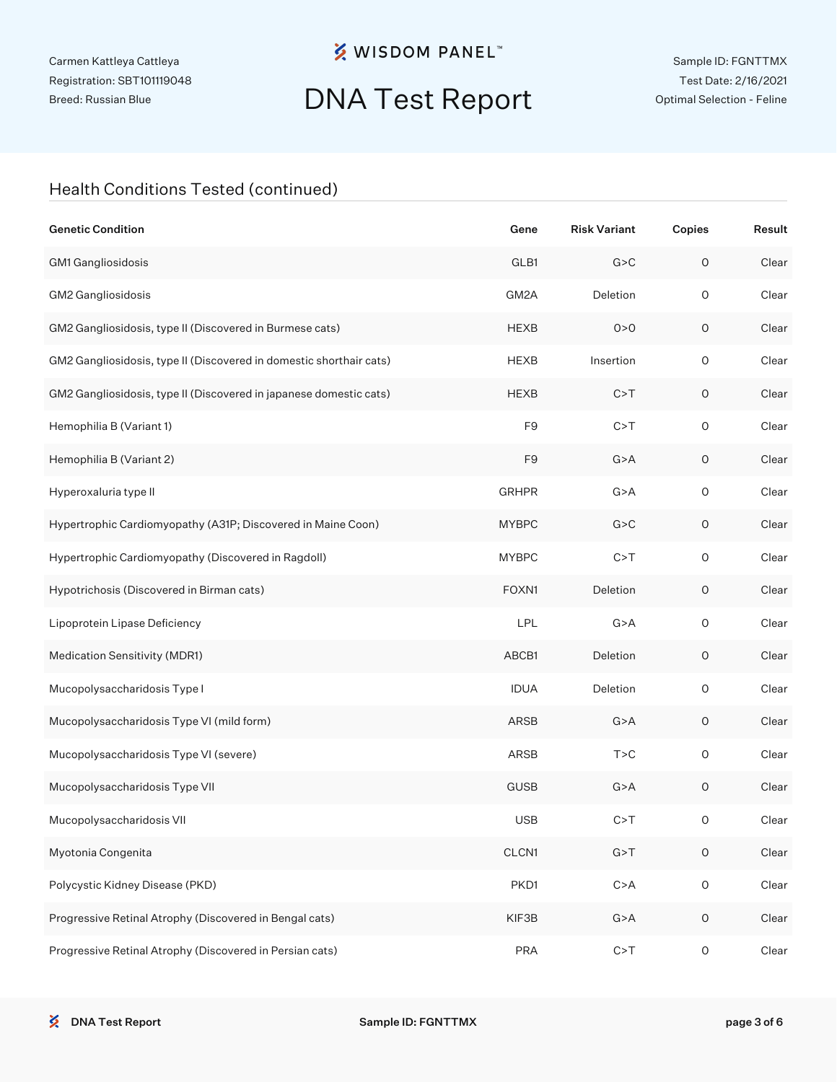**※ WISDOM PANEL**™

# DNA Test Report

### Health Conditions Tested (continued)

| <b>Genetic Condition</b>                                            | Gene           | <b>Risk Variant</b> | Copies              | Result |
|---------------------------------------------------------------------|----------------|---------------------|---------------------|--------|
| GM1 Gangliosidosis                                                  | GLB1           | G > C               | $\mathsf O$         | Clear  |
| GM2 Gangliosidosis                                                  | GM2A           | Deletion            | $\circ$             | Clear  |
| GM2 Gangliosidosis, type II (Discovered in Burmese cats)            | <b>HEXB</b>    | 0 > 0               | O                   | Clear  |
| GM2 Gangliosidosis, type II (Discovered in domestic shorthair cats) | <b>HEXB</b>    | Insertion           | $\mathsf O$         | Clear  |
| GM2 Gangliosidosis, type II (Discovered in japanese domestic cats)  | <b>HEXB</b>    | C > T               | 0                   | Clear  |
| Hemophilia B (Variant 1)                                            | F <sub>9</sub> | C > T               | $\mathsf O$         | Clear  |
| Hemophilia B (Variant 2)                                            | F <sub>9</sub> | G > A               | 0                   | Clear  |
| Hyperoxaluria type II                                               | <b>GRHPR</b>   | G > A               | $\mathsf O$         | Clear  |
| Hypertrophic Cardiomyopathy (A31P; Discovered in Maine Coon)        | <b>MYBPC</b>   | G > C               | 0                   | Clear  |
| Hypertrophic Cardiomyopathy (Discovered in Ragdoll)                 | <b>MYBPC</b>   | C > T               | $\mathsf O$         | Clear  |
| Hypotrichosis (Discovered in Birman cats)                           | FOXN1          | Deletion            | 0                   | Clear  |
| Lipoprotein Lipase Deficiency                                       | LPL            | G > A               | $\mathsf O$         | Clear  |
| Medication Sensitivity (MDR1)                                       | ABCB1          | Deletion            | 0                   | Clear  |
| Mucopolysaccharidosis Type I                                        | <b>IDUA</b>    | Deletion            | $\mathsf O$         | Clear  |
| Mucopolysaccharidosis Type VI (mild form)                           | ARSB           | G > A               | 0                   | Clear  |
| Mucopolysaccharidosis Type VI (severe)                              | ARSB           | T > C               | $\mathsf O$         | Clear  |
| Mucopolysaccharidosis Type VII                                      | <b>GUSB</b>    | G > A               | 0                   | Clear  |
| Mucopolysaccharidosis VII                                           | <b>USB</b>     | C > T               | O                   | Clear  |
| Myotonia Congenita                                                  | CLCN1          | G > T               | $\mathsf O$         | Clear  |
| Polycystic Kidney Disease (PKD)                                     | PKD1           | C > A               | $\mathsf O$         | Clear  |
| Progressive Retinal Atrophy (Discovered in Bengal cats)             | KIF3B          | G > A               | $\mathsf O$         | Clear  |
| Progressive Retinal Atrophy (Discovered in Persian cats)            | <b>PRA</b>     | C > T               | $\mathsf{O}\xspace$ | Clear  |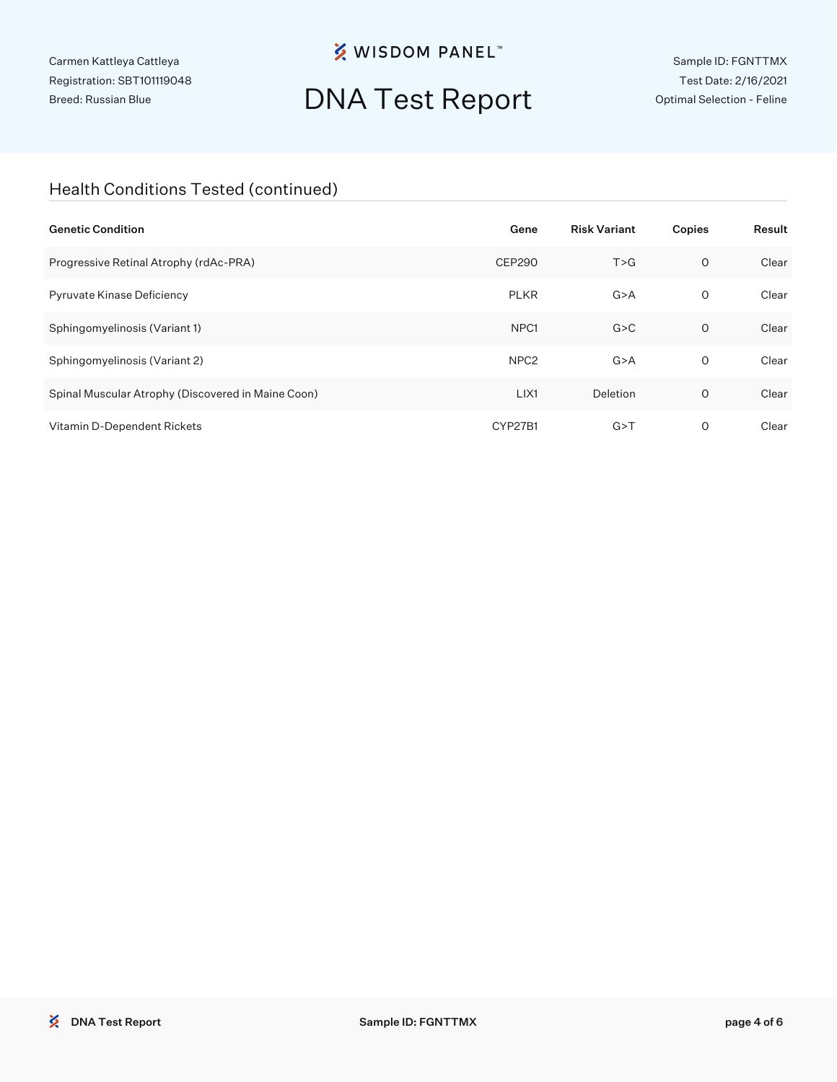**※ WISDOM PANEL**™

# DNA Test Report

Sample ID: FGNTTMX Test Date: 2/16/2021 Optimal Selection - Feline

### Health Conditions Tested (continued)

| <b>Genetic Condition</b>                           | Gene             | <b>Risk Variant</b> | Copies  | Result |
|----------------------------------------------------|------------------|---------------------|---------|--------|
| Progressive Retinal Atrophy (rdAc-PRA)             | <b>CEP290</b>    | T > G               | $\circ$ | Clear  |
| Pyruvate Kinase Deficiency                         | <b>PLKR</b>      | G > A               | 0       | Clear  |
| Sphingomyelinosis (Variant 1)                      | NPC <sub>1</sub> | G > C               | $\circ$ | Clear  |
| Sphingomyelinosis (Variant 2)                      | NPC <sub>2</sub> | G > A               | 0       | Clear  |
| Spinal Muscular Atrophy (Discovered in Maine Coon) | LIX1             | Deletion            | $\circ$ | Clear  |
| Vitamin D-Dependent Rickets                        | CYP27B1          | G > T               | 0       | Clear  |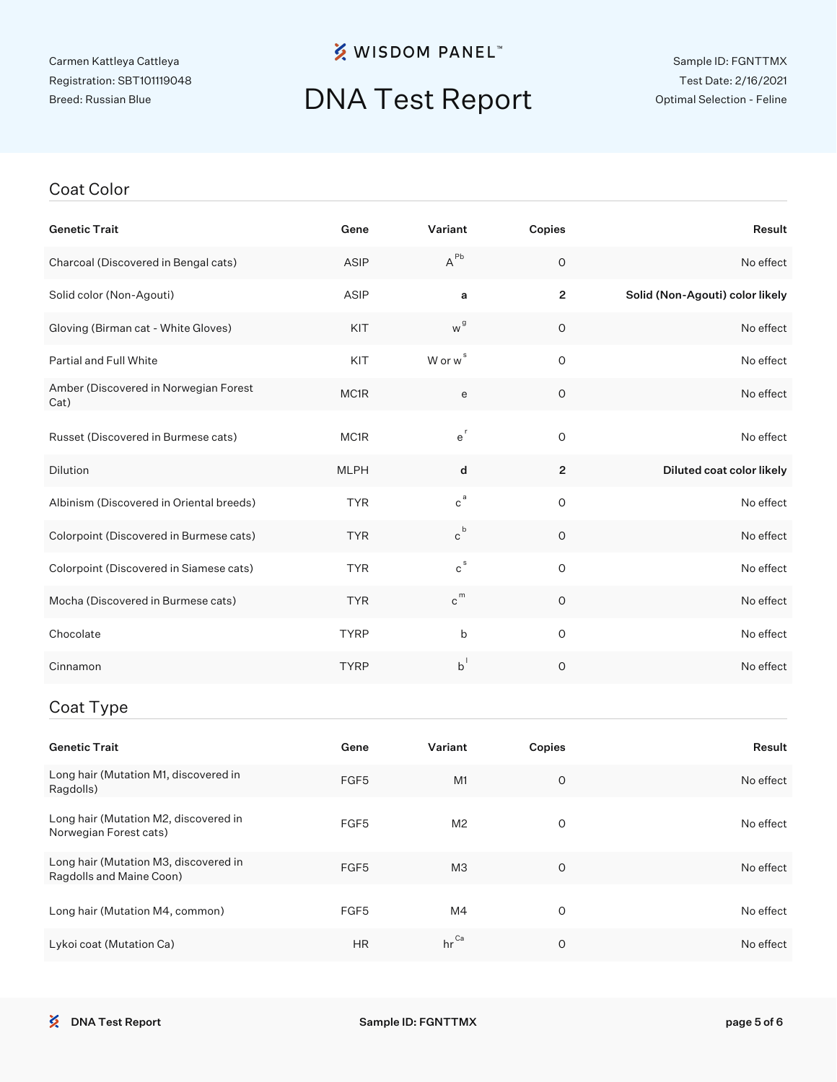## **※ WISDOM PANEL**™

# DNA Test Report

#### Coat Color

| <b>Genetic Trait</b>                          | Gene        | Variant                     | Copies         | Result                          |
|-----------------------------------------------|-------------|-----------------------------|----------------|---------------------------------|
| Charcoal (Discovered in Bengal cats)          | ASIP        | $A^{\sf Pb}$                | $\mathsf O$    | No effect                       |
| Solid color (Non-Agouti)                      | ASIP        | a                           | $\overline{2}$ | Solid (Non-Agouti) color likely |
| Gloving (Birman cat - White Gloves)           | KIT         | w <sup>g</sup>              | $\mathsf O$    | No effect                       |
| <b>Partial and Full White</b>                 | KIT         | W or w <sup>s</sup>         | $\mathsf O$    | No effect                       |
| Amber (Discovered in Norwegian Forest<br>Cat) | MC1R        | e                           | $\mathsf O$    | No effect                       |
| Russet (Discovered in Burmese cats)           | MC1R        | $e^r$                       | $\mathsf O$    | No effect                       |
| Dilution                                      | <b>MLPH</b> | d                           | $\mathbf{2}$   | Diluted coat color likely       |
| Albinism (Discovered in Oriental breeds)      | <b>TYR</b>  | $c^a$                       | $\mathsf O$    | No effect                       |
| Colorpoint (Discovered in Burmese cats)       | <b>TYR</b>  | $\mathtt{c}^{\,\mathtt{b}}$ | $\circ$        | No effect                       |
| Colorpoint (Discovered in Siamese cats)       | <b>TYR</b>  | $c^{s}$                     | $\mathsf O$    | No effect                       |
| Mocha (Discovered in Burmese cats)            | <b>TYR</b>  | $c^{m}$                     | $\circ$        | No effect                       |
| Chocolate                                     | <b>TYRP</b> | b                           | $\mathsf O$    | No effect                       |
| Cinnamon                                      | <b>TYRP</b> | $b^{\dagger}$               | $\mathsf O$    | No effect                       |
| Coat Type                                     |             |                             |                |                                 |
| <b>Genetic Trait</b>                          | Gene        | Variant                     | Copies         | Result                          |

| <b>UCHULLO HIGH</b>                                               | जणाण             | vanant           | oopics  | 110341L   |
|-------------------------------------------------------------------|------------------|------------------|---------|-----------|
| Long hair (Mutation M1, discovered in<br>Ragdolls)                | FGF <sub>5</sub> | M1               | $\circ$ | No effect |
| Long hair (Mutation M2, discovered in<br>Norwegian Forest cats)   | FGF <sub>5</sub> | M <sub>2</sub>   | O       | No effect |
| Long hair (Mutation M3, discovered in<br>Ragdolls and Maine Coon) | FGF <sub>5</sub> | M <sub>3</sub>   | $\circ$ | No effect |
| Long hair (Mutation M4, common)                                   | FGF <sub>5</sub> | M4               | O       | No effect |
| Lykoi coat (Mutation Ca)                                          | <b>HR</b>        | $hr^{\text{Ca}}$ | O       | No effect |